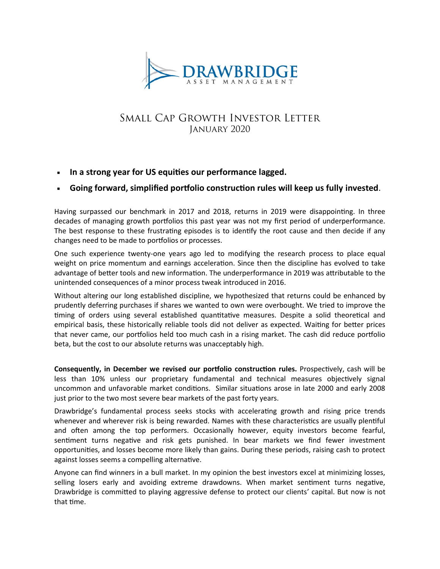

# Small Cap Growth Investor Letter January 2020

**In a strong year for US equities our performance lagged.**

## **Going forward, simplified portfolio construction rules will keep us fully invested**.

Having surpassed our benchmark in 2017 and 2018, returns in 2019 were disappointing. In three decades of managing growth portfolios this past year was not my first period of underperformance. The best response to these frustrating episodes is to identify the root cause and then decide if any changes need to be made to portfolios or processes.

One such experience twenty-one years ago led to modifying the research process to place equal weight on price momentum and earnings acceleration. Since then the discipline has evolved to take advantage of better tools and new information. The underperformance in 2019 was attributable to the unintended consequences of a minor process tweak introduced in 2016.

Without altering our long established discipline, we hypothesized that returns could be enhanced by prudently deferring purchases if shares we wanted to own were overbought. We tried to improve the timing of orders using several established quantitative measures. Despite a solid theoretical and empirical basis, these historically reliable tools did not deliver as expected. Waiting for better prices that never came, our portfolios held too much cash in a rising market. The cash did reduce portfolio beta, but the cost to our absolute returns was unacceptably high.

**Consequently, in December we revised our portfolio construction rules.** Prospectively, cash will be less than 10% unless our proprietary fundamental and technical measures objectively signal uncommon and unfavorable market conditions. Similar situations arose in late 2000 and early 2008 just prior to the two most severe bear markets of the past forty years.

Drawbridge's fundamental process seeks stocks with accelerating growth and rising price trends whenever and wherever risk is being rewarded. Names with these characteristics are usually plentiful and often among the top performers. Occasionally however, equity investors become fearful, sentiment turns negative and risk gets punished. In bear markets we find fewer investment opportunities, and losses become more likely than gains. During these periods, raising cash to protect against losses seems a compelling alternative.

Anyone can find winners in a bull market. In my opinion the best investors excel at minimizing losses, selling losers early and avoiding extreme drawdowns. When market sentiment turns negative, Drawbridge is committed to playing aggressive defense to protect our clients' capital. But now is not that time.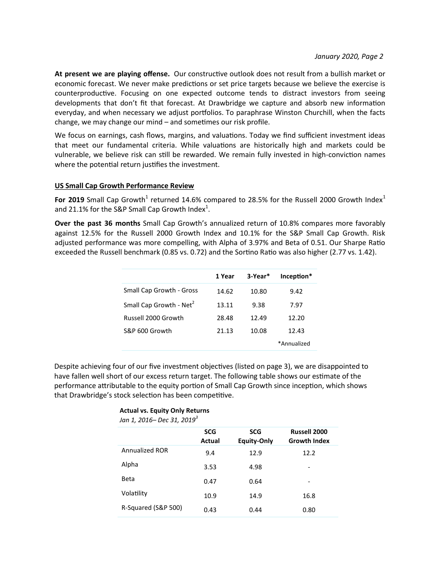**At present we are playing offense.** Our constructive outlook does not result from a bullish market or economic forecast. We never make predictions or set price targets because we believe the exercise is counterproductive. Focusing on one expected outcome tends to distract investors from seeing developments that don't fit that forecast. At Drawbridge we capture and absorb new information everyday, and when necessary we adjust portfolios. To paraphrase Winston Churchill, when the facts change, we may change our mind – and sometimes our risk profile.

We focus on earnings, cash flows, margins, and valuations. Today we find sufficient investment ideas that meet our fundamental criteria. While valuations are historically high and markets could be vulnerable, we believe risk can still be rewarded. We remain fully invested in high-conviction names where the potential return justifies the investment.

#### **US Small Cap Growth Performance Review**

For 2019 Small Cap Growth<sup>1</sup> returned 14.6% compared to 28.5% for the Russell 2000 Growth Index<sup>1</sup> and 21.1% for the S&P Small Cap Growth Index<sup>1</sup>.

**Over the past 36 months** Small Cap Growth's annualized return of 10.8% compares more favorably against 12.5% for the Russell 2000 Growth Index and 10.1% for the S&P Small Cap Growth. Risk adjusted performance was more compelling, with Alpha of 3.97% and Beta of 0.51. Our Sharpe Ratio exceeded the Russell benchmark (0.85 vs. 0.72) and the Sortino Ratio was also higher (2.77 vs. 1.42).

|                                     | 1 Year | 3-Year* | Inception*  |
|-------------------------------------|--------|---------|-------------|
| Small Cap Growth - Gross            | 14.62  | 10.80   | 9.42        |
| Small Cap Growth - Net <sup>2</sup> | 13.11  | 9.38    | 7.97        |
| Russell 2000 Growth                 | 28.48  | 12.49   | 12.20       |
| S&P 600 Growth                      | 21.13  | 10.08   | 12.43       |
|                                     |        |         | *Annualized |

Despite achieving four of our five investment objectives (listed on page 3), we are disappointed to have fallen well short of our excess return target. The following table shows our estimate of the performance attributable to the equity portion of Small Cap Growth since inception, which shows that Drawbridge's stock selection has been competitive.

#### **Actual vs. Equity Only Returns**

| JAN 1, 2016– Dec 31, 2019 |                      |                                  |                                     |  |  |
|---------------------------|----------------------|----------------------------------|-------------------------------------|--|--|
|                           | <b>SCG</b><br>Actual | <b>SCG</b><br><b>Equity-Only</b> | Russell 2000<br><b>Growth Index</b> |  |  |
| <b>Annualized ROR</b>     | 9.4                  | 12.9                             | 12.2                                |  |  |
| Alpha                     | 3.53                 | 4.98                             |                                     |  |  |
| <b>Beta</b>               | 0.47                 | 0.64                             | -                                   |  |  |
| Volatility                | 10.9                 | 14.9                             | 16.8                                |  |  |
| R-Squared (S&P 500)       | 0.43                 | 0.44                             | 0.80                                |  |  |

*Jan 1, 2016– Dec 31, 2019<sup>3</sup>*